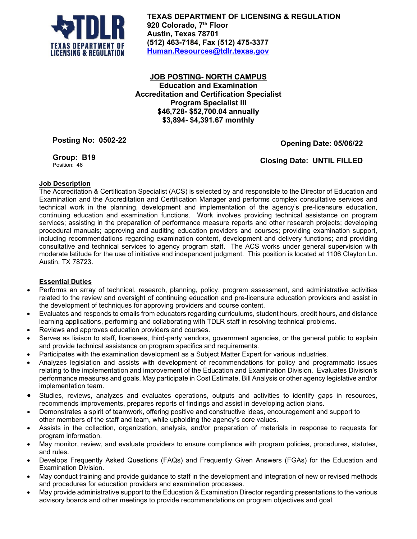

**TEXAS DEPARTMENT OF LICENSING & REGULATION 920 Colorado, 7th Floor Austin, Texas 78701 (512) 463-7184, Fax (512) 475-3377 [Human.Resources@tdlr.texas.gov](mailto:Human.Resources@tdlr.texas.gov)**

**JOB POSTING- NORTH CAMPUS Education and Examination Accreditation and Certification Specialist Program Specialist III \$46,728- \$52,700.04 annually \$3,894- \$4,391.67 monthly**

**Posting No: 0502-22**

**Opening Date: 05/06/22**

**Group: B19** Position: 46

 **Closing Date: UNTIL FILLED**

## **Job Description**

The Accreditation & Certification Specialist (ACS) is selected by and responsible to the Director of Education and Examination and the Accreditation and Certification Manager and performs complex consultative services and technical work in the planning, development and implementation of the agency's pre-licensure education, continuing education and examination functions. Work involves providing technical assistance on program services; assisting in the preparation of performance measure reports and other research projects; developing procedural manuals; approving and auditing education providers and courses; providing examination support, including recommendations regarding examination content, development and delivery functions; and providing consultative and technical services to agency program staff. The ACS works under general supervision with moderate latitude for the use of initiative and independent judgment. This position is located at 1106 Clayton Ln. Austin, TX 78723.

## **Essential Duties**

- Performs an array of technical, research, planning, policy, program assessment, and administrative activities related to the review and oversight of continuing education and pre-licensure education providers and assist in the development of techniques for approving providers and course content.
- Evaluates and responds to emails from educators regarding curriculums, student hours, credit hours, and distance learning applications, performing and collaborating with TDLR staff in resolving technical problems.
- Reviews and approves education providers and courses.
- Serves as liaison to staff, licensees, third-party vendors, government agencies, or the general public to explain and provide technical assistance on program specifics and requirements.
- Participates with the examination development as a Subject Matter Expert for various industries.
- Analyzes legislation and assists with development of recommendations for policy and programmatic issues relating to the implementation and improvement of the Education and Examination Division. Evaluates Division's performance measures and goals. May participate in Cost Estimate, Bill Analysis or other agency legislative and/or implementation team.
- Studies, reviews, analyzes and evaluates operations, outputs and activities to identify gaps in resources, recommends improvements, prepares reports of findings and assist in developing action plans.
- Demonstrates a spirit of teamwork, offering positive and constructive ideas, encouragement and support to other members of the staff and team, while upholding the agency's core values.
- Assists in the collection, organization, analysis, and/or preparation of materials in response to requests for program information.
- May monitor, review, and evaluate providers to ensure compliance with program policies, procedures, statutes, and rules.
- Develops Frequently Asked Questions (FAQs) and Frequently Given Answers (FGAs) for the Education and Examination Division.
- May conduct training and provide guidance to staff in the development and integration of new or revised methods and procedures for education providers and examination processes.
- May provide administrative support to the Education & Examination Director regarding presentations to the various advisory boards and other meetings to provide recommendations on program objectives and goal.